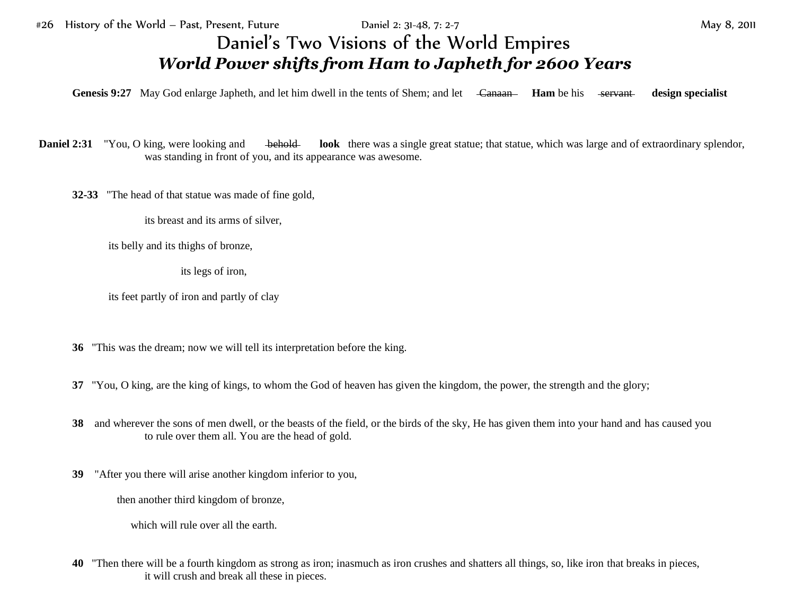## Daniel's Two Visions of the World Empires *World Power shifts from Ham to Japheth for 2600 Years*

Genesis 9:27 May God enlarge Japheth, and let him dwell in the tents of Shem; and let <del>Canaan Ham</del> be his servant design specialist

**Daniel 2:31** "You, O king, were looking and behold **look** there was a single great statue; that statue, which was large and of extraordinary splendor, was standing in front of you, and its appearance was awesome.

**32-33** "The head of that statue was made of fine gold,

its breast and its arms of silver,

its belly and its thighs of bronze,

its legs of iron,

its feet partly of iron and partly of clay

- **36** "This was the dream; now we will tell its interpretation before the king.
- **37** "You, O king, are the king of kings, to whom the God of heaven has given the kingdom, the power, the strength and the glory;
- **38** and wherever the sons of men dwell, or the beasts of the field, or the birds of the sky, He has given them into your hand and has caused you to rule over them all. You are the head of gold.
- **39** "After you there will arise another kingdom inferior to you,

then another third kingdom of bronze,

which will rule over all the earth.

**40** "Then there will be a fourth kingdom as strong as iron; inasmuch as iron crushes and shatters all things, so, like iron that breaks in pieces, it will crush and break all these in pieces.